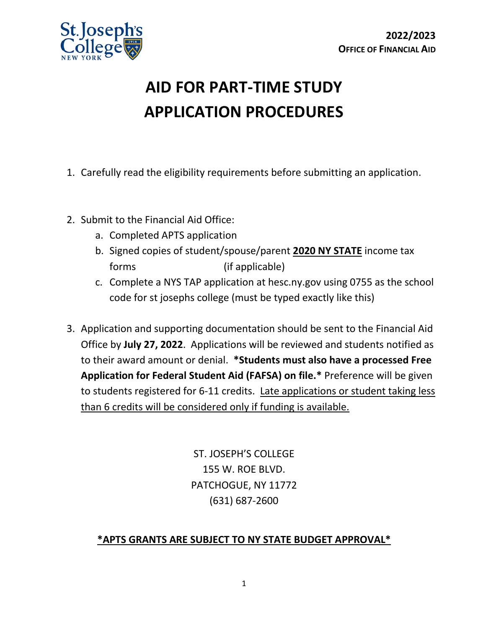

# **AID FOR PART-TIME STUDY APPLICATION PROCEDURES**

- 1. Carefully read the eligibility requirements before submitting an application.
- 2. Submit to the Financial Aid Office:
	- a. Completed APTS application
	- b. Signed copies of student/spouse/parent **2020 NY STATE** income tax forms (if applicable)
	- c. Complete a NYS TAP application at hesc.ny.gov using 0755 as the school code for st josephs college (must be typed exactly like this)
- 3. Application and supporting documentation should be sent to the Financial Aid Office by **July 27, 2022**. Applications will be reviewed and students notified as to their award amount or denial. **\*Students must also have a processed Free Application for Federal Student Aid (FAFSA) on file.\*** Preference will be given to students registered for 6-11 credits. Late applications or student taking less than 6 credits will be considered only if funding is available.

ST. JOSEPH'S COLLEGE 155 W. ROE BLVD. PATCHOGUE, NY 11772 (631) 687-2600

# **\*APTS GRANTS ARE SUBJECT TO NY STATE BUDGET APPROVAL\***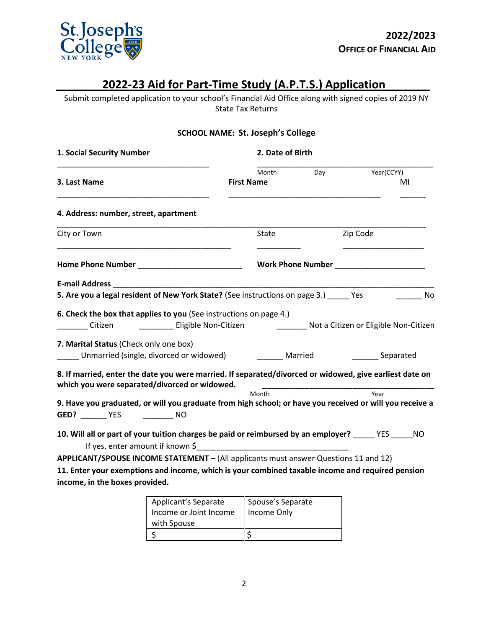

# **2022-23 Aid for Part-Time Study (A.P.T.S.) Application**

Submit completed application to your school's Financial Aid Office along with signed copies of 2019 NY State Tax Returns

### **SCHOOL NAME: St. Joseph's College**

| 1. Social Security Number                                                                                                                                | 2. Date of Birth                     |     |                                       |
|----------------------------------------------------------------------------------------------------------------------------------------------------------|--------------------------------------|-----|---------------------------------------|
| 3. Last Name                                                                                                                                             | Month<br><b>First Name</b>           | Day | Year(CCYY)<br>MI                      |
| 4. Address: number, street, apartment                                                                                                                    |                                      |     |                                       |
| City or Town                                                                                                                                             | <b>State</b>                         |     | Zip Code                              |
|                                                                                                                                                          | Work Phone Number North Phone Number |     |                                       |
|                                                                                                                                                          |                                      |     |                                       |
| 5. Are you a legal resident of New York State? (See instructions on page 3.) _____ Yes                                                                   |                                      |     | No                                    |
| 6. Check the box that applies to you (See instructions on page 4.)<br>Citizen ______________ Eligible Non-Citizen                                        |                                      |     | Not a Citizen or Eligible Non-Citizen |
| 7. Marital Status (Check only one box)<br>Unmarried (single, divorced or widowed)                                                                        | Married                              |     | Separated                             |
| 8. If married, enter the date you were married. If separated/divorced or widowed, give earliest date on<br>which you were separated/divorced or widowed. | Month                                |     | Year                                  |
| 9. Have you graduated, or will you graduate from high school; or have you received or will you receive a<br>GED? YES NO                                  |                                      |     |                                       |
| 10. Will all or part of your tuition charges be paid or reimbursed by an employer? _____ YES _____ NO                                                    |                                      |     |                                       |
| APPLICANT/SPOUSE INCOME STATEMENT - (All applicants must answer Questions 11 and 12)                                                                     |                                      |     |                                       |
| 11. Enter your exemptions and income, which is your combined taxable income and required pension<br>income, in the boxes provided.                       |                                      |     |                                       |

| Applicant's Separate<br>Income or Joint Income | Spouse's Separate<br>Income Only |
|------------------------------------------------|----------------------------------|
| with Spouse                                    |                                  |
|                                                |                                  |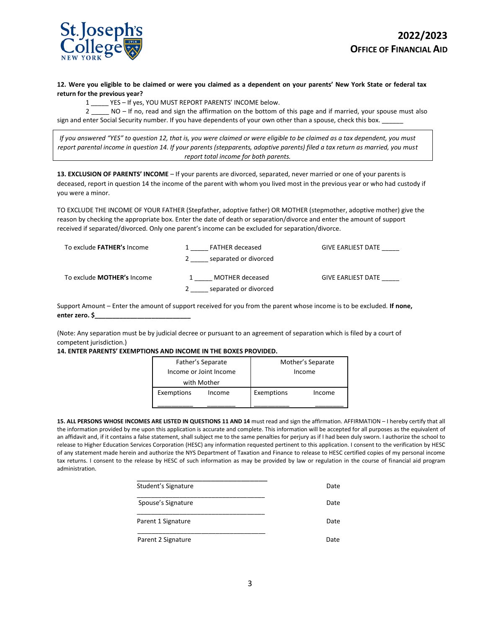

**12. Were you eligible to be claimed or were you claimed as a dependent on your parents' New York State or federal tax return for the previous year?**

1 \_\_\_\_\_ YES – If yes, YOU MUST REPORT PARENTS' INCOME below.

2 \_\_\_\_ NO – If no, read and sign the affirmation on the bottom of this page and if married, your spouse must also sign and enter Social Security number. If you have dependents of your own other than a spouse, check this box.

*If you answered "YES" to question 12, that is, you were claimed or were eligible to be claimed as a tax dependent, you must report parental income in question 14. If your parents (stepparents, adoptive parents) filed a tax return as married, you must report total income for both parents.*

**13. EXCLUSION OF PARENTS' INCOME** – If your parents are divorced, separated, never married or one of your parents is deceased, report in question 14 the income of the parent with whom you lived most in the previous year or who had custody if you were a minor.

TO EXCLUDE THE INCOME OF YOUR FATHER (Stepfather, adoptive father) OR MOTHER (stepmother, adoptive mother) give the reason by checking the appropriate box. Enter the date of death or separation/divorce and enter the amount of support received if separated/divorced. Only one parent's income can be excluded for separation/divorce.

| To exclude FATHER's Income        | <b>FATHER deceased</b> | <b>GIVE EARLIEST DATE</b> |
|-----------------------------------|------------------------|---------------------------|
|                                   | separated or divorced  |                           |
| To exclude <b>MOTHER's</b> Income | MOTHER deceased        | <b>GIVE EARLIEST DATE</b> |
|                                   | separated or divorced  |                           |

Support Amount – Enter the amount of support received for you from the parent whose income is to be excluded. **If none, enter zero. \$\_\_\_\_\_\_\_\_\_\_\_\_\_\_\_\_\_\_\_\_\_\_\_\_\_\_\_**

(Note: Any separation must be by judicial decree or pursuant to an agreement of separation which is filed by a court of competent jurisdiction.)

#### **14. ENTER PARENTS' EXEMPTIONS AND INCOME IN THE BOXES PROVIDED.**

|            | Father's Separate      | Mother's Separate |        |
|------------|------------------------|-------------------|--------|
|            | Income or Joint Income | Income            |        |
|            | with Mother            |                   |        |
| Exemptions | Income                 | Exemptions        | Income |
|            |                        |                   |        |

**15. ALL PERSONS WHOSE INCOMES ARE LISTED IN QUESTIONS 11 AND 14** must read and sign the affirmation. AFFIRMATION – I hereby certify that all the information provided by me upon this application is accurate and complete. This information will be accepted for all purposes as the equivalent of an affidavit and, if it contains a false statement, shall subject me to the same penalties for perjury as if I had been duly sworn. I authorize the school to release to Higher Education Services Corporation (HESC) any information requested pertinent to this application. I consent to the verification by HESC of any statement made herein and authorize the NYS Department of Taxation and Finance to release to HESC certified copies of my personal income tax returns. I consent to the release by HESC of such information as may be provided by law or regulation in the course of financial aid program administration.

| Student's Signature | Date |
|---------------------|------|
| Spouse's Signature  | Date |
| Parent 1 Signature  | Date |
| Parent 2 Signature  | Date |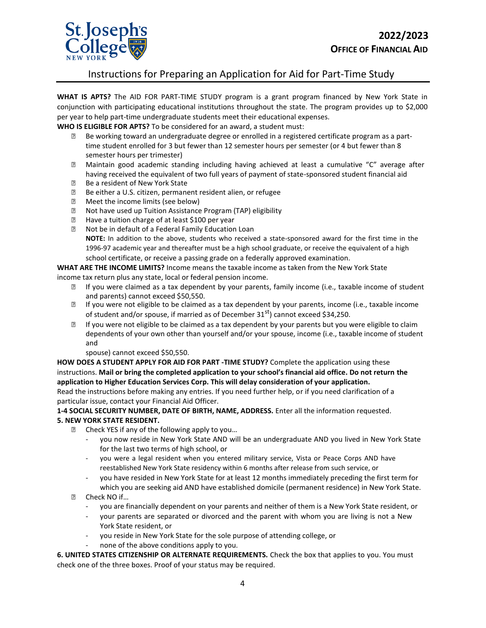

## Instructions for Preparing an Application for Aid for Part-Time Study

**WHAT IS APTS?** The AID FOR PART-TIME STUDY program is a grant program financed by New York State in conjunction with participating educational institutions throughout the state. The program provides up to \$2,000 per year to help part-time undergraduate students meet their educational expenses.

**WHO IS ELIGIBLE FOR APTS?** To be considered for an award, a student must:

- $f$  Be working toward an undergraduate degree or enrolled in a registered certificate program as a parttime student enrolled for 3 but fewer than 12 semester hours per semester (or 4 but fewer than 8 semester hours per trimester)
- $f$  Maintain good academic standing including having achieved at least a cumulative "C" average after having received the equivalent of two full years of payment of state-sponsored student financial aid
- $f$  Be a resident of New York State
- $f$  Be either a U.S. citizen, permanent resident alien, or refugee
- ƒ Meet the income limits (see below)
- $f$  Not have used up Tuition Assistance Program (TAP) eligibility
- $f$  Have a tuition charge of at least \$100 per year
- ƒ Not be in default of a Federal Family Education Loan **NOTE:** In addition to the above, students who received a state-sponsored award for the first time in the 1996-97 academic year and thereafter must be a high school graduate, or receive the equivalent of a high school certificate, or receive a passing grade on a federally approved examination.

**WHAT ARE THE INCOME LIMITS?** Income means the taxable income as taken from the New York State income tax return plus any state, local or federal pension income.

- $f$  If you were claimed as a tax dependent by your parents, family income (i.e., taxable income of student and parents) cannot exceed \$50,550.
- $f$  If you were not eligible to be claimed as a tax dependent by your parents, income (i.e., taxable income of student and/or spouse, if married as of December  $31<sup>st</sup>$ ) cannot exceed \$34,250.
- $f$  If you were not eligible to be claimed as a tax dependent by your parents but you were eligible to claim dependents of your own other than yourself and/or your spouse, income (i.e., taxable income of student and
	- spouse) cannot exceed \$50,550.

**HOW DOES A STUDENT APPLY FOR AID FOR PART -TIME STUDY?** Complete the application using these instructions. **Mail or bring the completed application to your school's financial aid office. Do not return the application to Higher Education Services Corp. This will delay consideration of your application.**

Read the instructions before making any entries. If you need further help, or if you need clarification of a particular issue, contact your Financial Aid Officer.

**1-4 SOCIAL SECURITY NUMBER, DATE OF BIRTH, NAME, ADDRESS.** Enter all the information requested. **5. NEW YORK STATE RESIDENT.** 

- $f$  Check YES if any of the following apply to you...
	- you now reside in New York State AND will be an undergraduate AND you lived in New York State for the last two terms of high school, or
	- you were a legal resident when you entered military service, Vista or Peace Corps AND have reestablished New York State residency within 6 months after release from such service, or
	- you have resided in New York State for at least 12 months immediately preceding the first term for which you are seeking aid AND have established domicile (permanent residence) in New York State.
- ƒ Check NO if…
	- you are financially dependent on your parents and neither of them is a New York State resident, or
	- your parents are separated or divorced and the parent with whom you are living is not a New York State resident, or
	- you reside in New York State for the sole purpose of attending college, or
	- none of the above conditions apply to you.

**6. UNITED STATES CITIZENSHIP OR ALTERNATE REQUIREMENTS.** Check the box that applies to you. You must check one of the three boxes. Proof of your status may be required.